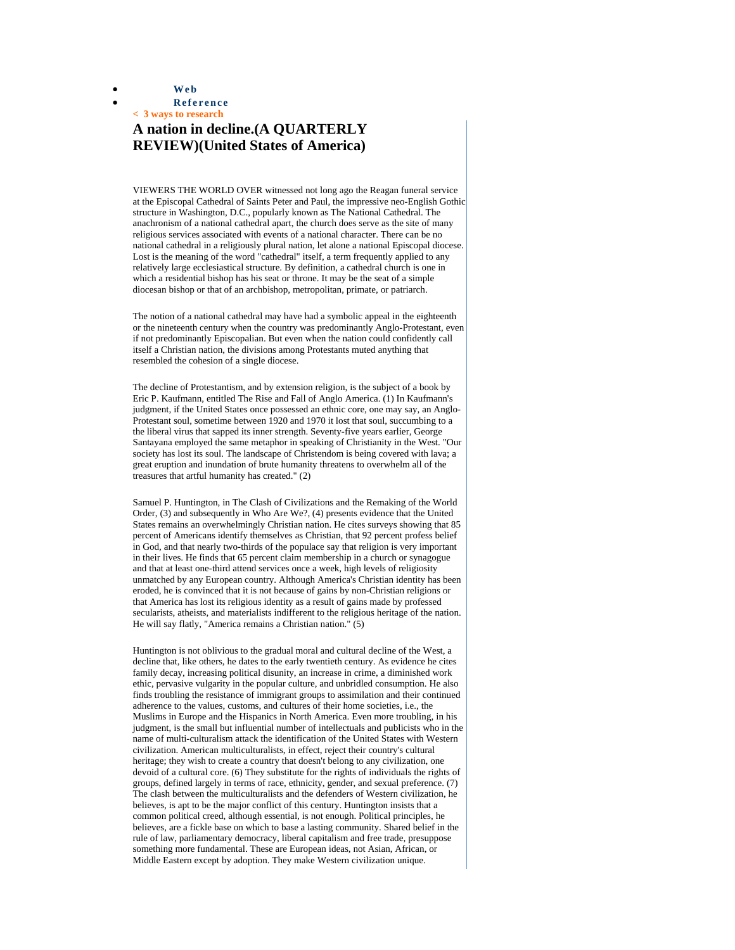• **Web**

• **Reference**

## **< 3 ways to research A nation in decline.(A QUARTERLY REVIEW)(United States of America)**

VIEWERS THE WORLD OVER witnessed not long ago the Reagan funeral service at the Episcopal Cathedral of Saints Peter and Paul, the impressive neo-English Gothic structure in Washington, D.C., popularly known as The National Cathedral. The anachronism of a national cathedral apart, the church does serve as the site of many religious services associated with events of a national character. There can be no national cathedral in a religiously plural nation, let alone a national Episcopal diocese. Lost is the meaning of the word "cathedral" itself, a term frequently applied to any relatively large ecclesiastical structure. By definition, a cathedral church is one in which a residential bishop has his seat or throne. It may be the seat of a simple diocesan bishop or that of an archbishop, metropolitan, primate, or patriarch.

The notion of a national cathedral may have had a symbolic appeal in the eighteenth or the nineteenth century when the country was predominantly Anglo-Protestant, even if not predominantly Episcopalian. But even when the nation could confidently call itself a Christian nation, the divisions among Protestants muted anything that resembled the cohesion of a single diocese.

The decline of Protestantism, and by extension religion, is the subject of a book by Eric P. Kaufmann, entitled The Rise and Fall of Anglo America. (1) In Kaufmann's judgment, if the United States once possessed an ethnic core, one may say, an Anglo-Protestant soul, sometime between 1920 and 1970 it lost that soul, succumbing to a the liberal virus that sapped its inner strength. Seventy-five years earlier, George Santayana employed the same metaphor in speaking of Christianity in the West. "Our society has lost its soul. The landscape of Christendom is being covered with lava; a great eruption and inundation of brute humanity threatens to overwhelm all of the treasures that artful humanity has created." (2)

Samuel P. Huntington, in The Clash of Civilizations and the Remaking of the World Order, (3) and subsequently in Who Are We?, (4) presents evidence that the United States remains an overwhelmingly Christian nation. He cites surveys showing that 85 percent of Americans identify themselves as Christian, that 92 percent profess belief in God, and that nearly two-thirds of the populace say that religion is very important in their lives. He finds that 65 percent claim membership in a church or synagogue and that at least one-third attend services once a week, high levels of religiosity unmatched by any European country. Although America's Christian identity has been eroded, he is convinced that it is not because of gains by non-Christian religions or that America has lost its religious identity as a result of gains made by professed secularists, atheists, and materialists indifferent to the religious heritage of the nation. He will say flatly, "America remains a Christian nation." (5)

Huntington is not oblivious to the gradual moral and cultural decline of the West, a decline that, like others, he dates to the early twentieth century. As evidence he cites family decay, increasing political disunity, an increase in crime, a diminished work ethic, pervasive vulgarity in the popular culture, and unbridled consumption. He also finds troubling the resistance of immigrant groups to assimilation and their continued adherence to the values, customs, and cultures of their home societies, i.e., the Muslims in Europe and the Hispanics in North America. Even more troubling, in his judgment, is the small but influential number of intellectuals and publicists who in the name of multi-culturalism attack the identification of the United States with Western civilization. American multiculturalists, in effect, reject their country's cultural heritage; they wish to create a country that doesn't belong to any civilization, one devoid of a cultural core. (6) They substitute for the rights of individuals the rights of groups, defined largely in terms of race, ethnicity, gender, and sexual preference. (7) The clash between the multiculturalists and the defenders of Western civilization, he believes, is apt to be the major conflict of this century. Huntington insists that a common political creed, although essential, is not enough. Political principles, he believes, are a fickle base on which to base a lasting community. Shared belief in the rule of law, parliamentary democracy, liberal capitalism and free trade, presuppose something more fundamental. These are European ideas, not Asian, African, or Middle Eastern except by adoption. They make Western civilization unique.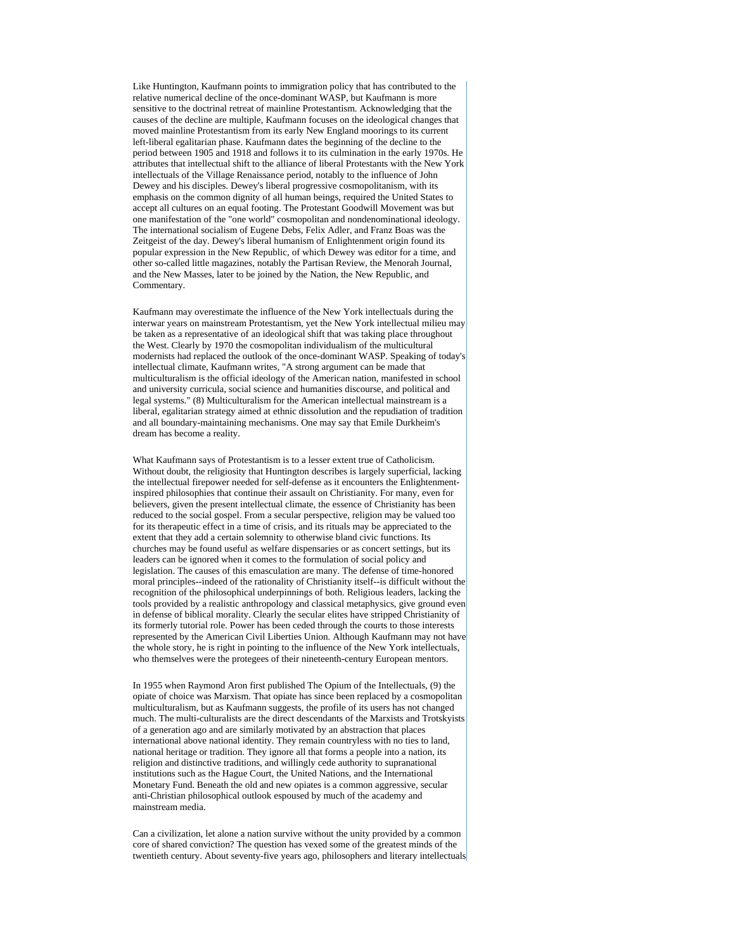Like Huntington, Kaufmann points to immigration policy that has contributed to the relative numerical decline of the once-dominant WASP, but Kaufmann is more sensitive to the doctrinal retreat of mainline Protestantism. Acknowledging that the causes of the decline are multiple, Kaufmann focuses on the ideological changes that moved mainline Protestantism from its early New England moorings to its current left-liberal egalitarian phase. Kaufmann dates the beginning of the decline to the period between 1905 and 1918 and follows it to its culmination in the early 1970s. He attributes that intellectual shift to the alliance of liberal Protestants with the New York intellectuals of the Village Renaissance period, notably to the influence of John Dewey and his disciples. Dewey's liberal progressive cosmopolitanism, with its emphasis on the common dignity of all human beings, required the United States to accept all cultures on an equal footing. The Protestant Goodwill Movement was but one manifestation of the "one world" cosmopolitan and nondenominational ideology. The international socialism of Eugene Debs, Felix Adler, and Franz Boas was the Zeitgeist of the day. Dewey's liberal humanism of Enlightenment origin found its popular expression in the New Republic, of which Dewey was editor for a time, and other so-called little magazines, notably the Partisan Review, the Menorah Journal, and the New Masses, later to be joined by the Nation, the New Republic, and Commentary.

Kaufmann may overestimate the influence of the New York intellectuals during the interwar years on mainstream Protestantism, yet the New York intellectual milieu may be taken as a representative of an ideological shift that was taking place throughout the West. Clearly by 1970 the cosmopolitan individualism of the multicultural modernists had replaced the outlook of the once-dominant WASP. Speaking of today's intellectual climate, Kaufmann writes, "A strong argument can be made that multiculturalism is the official ideology of the American nation, manifested in school and university curricula, social science and humanities discourse, and political and legal systems." (8) Multiculturalism for the American intellectual mainstream is a liberal, egalitarian strategy aimed at ethnic dissolution and the repudiation of tradition and all boundary-maintaining mechanisms. One may say that Emile Durkheim's dream has become a reality.

What Kaufmann says of Protestantism is to a lesser extent true of Catholicism. Without doubt, the religiosity that Huntington describes is largely superficial, lacking the intellectual firepower needed for self-defense as it encounters the Enlightenmentinspired philosophies that continue their assault on Christianity. For many, even for believers, given the present intellectual climate, the essence of Christianity has been reduced to the social gospel. From a secular perspective, religion may be valued too for its therapeutic effect in a time of crisis, and its rituals may be appreciated to the extent that they add a certain solemnity to otherwise bland civic functions. Its churches may be found useful as welfare dispensaries or as concert settings, but its leaders can be ignored when it comes to the formulation of social policy and legislation. The causes of this emasculation are many. The defense of time-honored moral principles--indeed of the rationality of Christianity itself--is difficult without the recognition of the philosophical underpinnings of both. Religious leaders, lacking the tools provided by a realistic anthropology and classical metaphysics, give ground even in defense of biblical morality. Clearly the secular elites have stripped Christianity of its formerly tutorial role. Power has been ceded through the courts to those interests represented by the American Civil Liberties Union. Although Kaufmann may not have the whole story, he is right in pointing to the influence of the New York intellectuals, who themselves were the protegees of their nineteenth-century European mentors.

In 1955 when Raymond Aron first published The Opium of the Intellectuals, (9) the opiate of choice was Marxism. That opiate has since been replaced by a cosmopolitan multiculturalism, but as Kaufmann suggests, the profile of its users has not changed much. The multi-culturalists are the direct descendants of the Marxists and Trotskyists of a generation ago and are similarly motivated by an abstraction that places international above national identity. They remain countryless with no ties to land, national heritage or tradition. They ignore all that forms a people into a nation, its religion and distinctive traditions, and willingly cede authority to supranational institutions such as the Hague Court, the United Nations, and the International Monetary Fund. Beneath the old and new opiates is a common aggressive, secular anti-Christian philosophical outlook espoused by much of the academy and mainstream media.

Can a civilization, let alone a nation survive without the unity provided by a common core of shared conviction? The question has vexed some of the greatest minds of the twentieth century. About seventy-five years ago, philosophers and literary intellectuals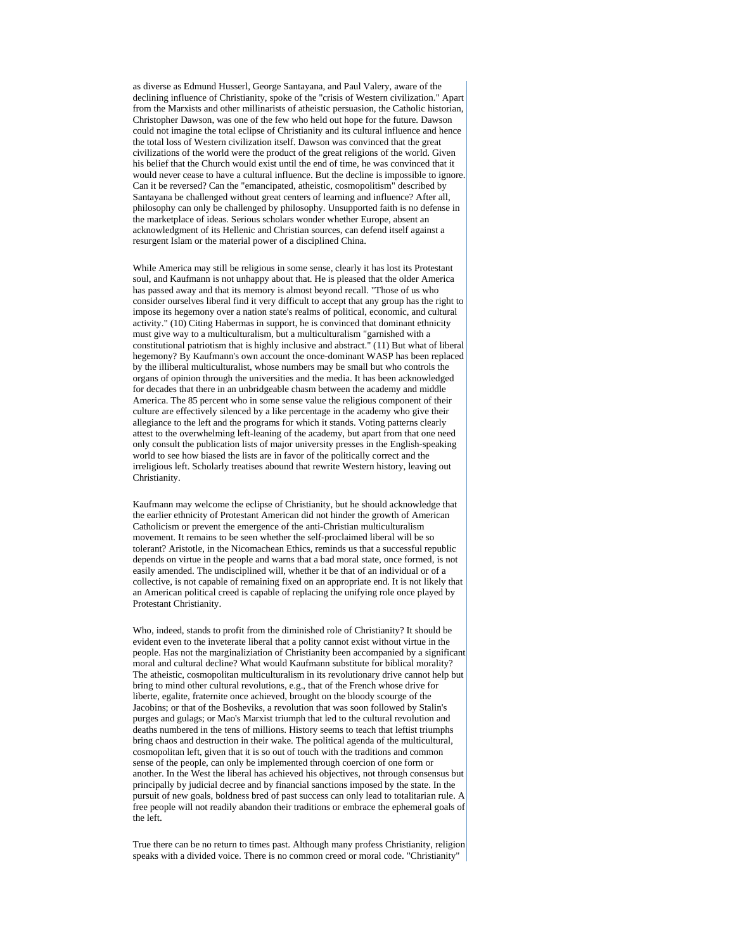as diverse as Edmund Husserl, George Santayana, and Paul Valery, aware of the declining influence of Christianity, spoke of the "crisis of Western civilization." Apart from the Marxists and other millinarists of atheistic persuasion, the Catholic historian, Christopher Dawson, was one of the few who held out hope for the future. Dawson could not imagine the total eclipse of Christianity and its cultural influence and hence the total loss of Western civilization itself. Dawson was convinced that the great civilizations of the world were the product of the great religions of the world. Given his belief that the Church would exist until the end of time, he was convinced that it would never cease to have a cultural influence. But the decline is impossible to ignore. Can it be reversed? Can the "emancipated, atheistic, cosmopolitism" described by Santayana be challenged without great centers of learning and influence? After all, philosophy can only be challenged by philosophy. Unsupported faith is no defense in the marketplace of ideas. Serious scholars wonder whether Europe, absent an acknowledgment of its Hellenic and Christian sources, can defend itself against a resurgent Islam or the material power of a disciplined China.

While America may still be religious in some sense, clearly it has lost its Protestant soul, and Kaufmann is not unhappy about that. He is pleased that the older America has passed away and that its memory is almost beyond recall. "Those of us who consider ourselves liberal find it very difficult to accept that any group has the right to impose its hegemony over a nation state's realms of political, economic, and cultural activity." (10) Citing Habermas in support, he is convinced that dominant ethnicity must give way to a multiculturalism, but a multiculturalism "garnished with a constitutional patriotism that is highly inclusive and abstract." (11) But what of liberal hegemony? By Kaufmann's own account the once-dominant WASP has been replaced by the illiberal multiculturalist, whose numbers may be small but who controls the organs of opinion through the universities and the media. It has been acknowledged for decades that there in an unbridgeable chasm between the academy and middle America. The 85 percent who in some sense value the religious component of their culture are effectively silenced by a like percentage in the academy who give their allegiance to the left and the programs for which it stands. Voting patterns clearly attest to the overwhelming left-leaning of the academy, but apart from that one need only consult the publication lists of major university presses in the English-speaking world to see how biased the lists are in favor of the politically correct and the irreligious left. Scholarly treatises abound that rewrite Western history, leaving out Christianity.

Kaufmann may welcome the eclipse of Christianity, but he should acknowledge that the earlier ethnicity of Protestant American did not hinder the growth of American Catholicism or prevent the emergence of the anti-Christian multiculturalism movement. It remains to be seen whether the self-proclaimed liberal will be so tolerant? Aristotle, in the Nicomachean Ethics, reminds us that a successful republic depends on virtue in the people and warns that a bad moral state, once formed, is not easily amended. The undisciplined will, whether it be that of an individual or of a collective, is not capable of remaining fixed on an appropriate end. It is not likely that an American political creed is capable of replacing the unifying role once played by Protestant Christianity.

Who, indeed, stands to profit from the diminished role of Christianity? It should be evident even to the inveterate liberal that a polity cannot exist without virtue in the people. Has not the marginaliziation of Christianity been accompanied by a significant moral and cultural decline? What would Kaufmann substitute for biblical morality? The atheistic, cosmopolitan multiculturalism in its revolutionary drive cannot help but bring to mind other cultural revolutions, e.g., that of the French whose drive for liberte, egalite, fraternite once achieved, brought on the bloody scourge of the Jacobins; or that of the Bosheviks, a revolution that was soon followed by Stalin's purges and gulags; or Mao's Marxist triumph that led to the cultural revolution and deaths numbered in the tens of millions. History seems to teach that leftist triumphs bring chaos and destruction in their wake. The political agenda of the multicultural, cosmopolitan left, given that it is so out of touch with the traditions and common sense of the people, can only be implemented through coercion of one form or another. In the West the liberal has achieved his objectives, not through consensus but principally by judicial decree and by financial sanctions imposed by the state. In the pursuit of new goals, boldness bred of past success can only lead to totalitarian rule. A free people will not readily abandon their traditions or embrace the ephemeral goals of the left.

True there can be no return to times past. Although many profess Christianity, religion speaks with a divided voice. There is no common creed or moral code. "Christianity"